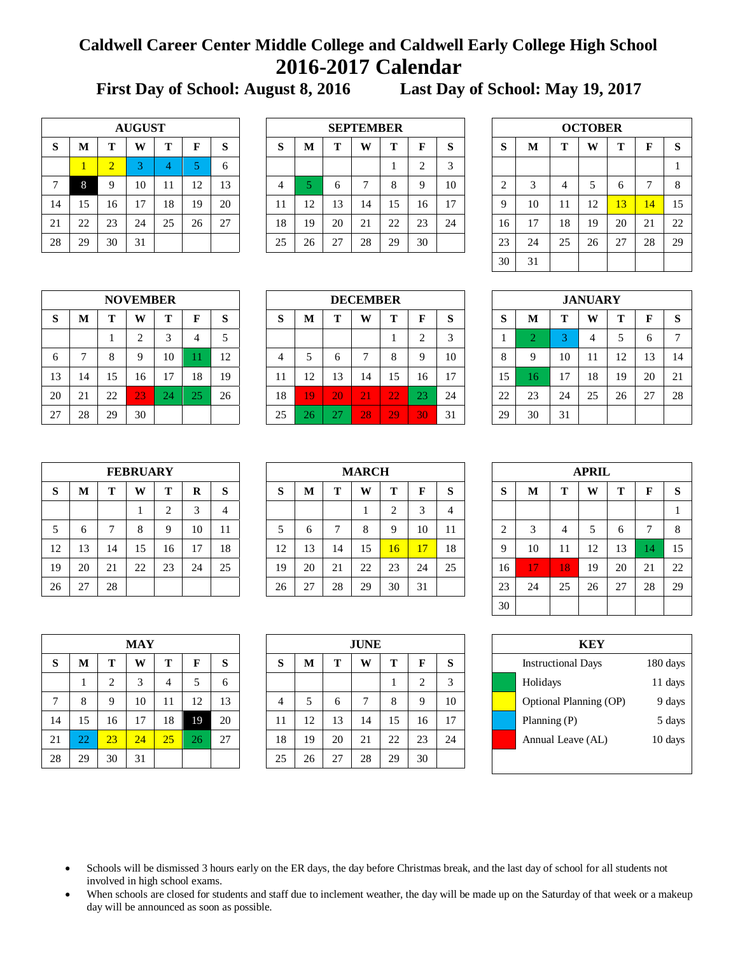## **Caldwell Career Center Middle College and Caldwell Early College High School 2016-2017 Calendar**

**First Day of School: August 8, 2016 Last Day of School: May 19, 2017**

|    | <b>AUGUST</b> |                |    |    |    |    |  |  |  |  |  |  |  |  |  |
|----|---------------|----------------|----|----|----|----|--|--|--|--|--|--|--|--|--|
| S  | M             | Т              | W  | Т  | F  | S  |  |  |  |  |  |  |  |  |  |
|    | 1             | $\overline{2}$ | 3  |    | 5  | 6  |  |  |  |  |  |  |  |  |  |
| 7  | 8             | 9              | 10 | 11 | 12 | 13 |  |  |  |  |  |  |  |  |  |
| 14 | 15            | 16             | 17 | 18 | 19 | 20 |  |  |  |  |  |  |  |  |  |
| 21 | 22            | 23             | 24 | 25 | 26 | 27 |  |  |  |  |  |  |  |  |  |
| 28 | 29            | 30             | 31 |    |    |    |  |  |  |  |  |  |  |  |  |

|              | <b>AUGUST</b><br>m<br>г |                          |        |    |    |    |             |    |           | <b>SEPTEMBER</b> |    |    |              |                   |    |    | <b>OCTOBER</b> |    |                |    |
|--------------|-------------------------|--------------------------|--------|----|----|----|-------------|----|-----------|------------------|----|----|--------------|-------------------|----|----|----------------|----|----------------|----|
| ${\bf S}$    | M                       |                          | W      |    |    | S  | $\sim$<br>Ю | M  | m         | W                | Т  | F  | $\sim$<br>×. | $\mathbf{C}$<br>D | M  | m  | W              |    |                | S  |
|              |                         | $\overline{\phantom{0}}$ | $\sim$ |    |    | h  |             |    |           |                  | л. |    | $\sim$       |                   |    |    |                |    |                |    |
| $\mathbf{r}$ |                         |                          | 10     |    | 12 | 13 |             |    |           |                  | 8  | Q  | 10           | ◠                 |    | 4  |                | h  |                | 8  |
| 14           | 15                      | 16                       | 17     | 18 | 19 | 20 | -11         | 12 | 13        | 14               | 15 | 16 |              | a                 | 10 |    | 12             | 13 | $\overline{4}$ | 15 |
| 21           | 22                      | 23                       | 24     | 25 | 26 | 27 | 18          | 19 | 20        | 21               | 22 | 23 | 24           | 16                |    | 18 | 19             | 20 | 21             | 22 |
| 28           | 29                      | 30                       | 31     |    |    |    | 25          | 26 | 27<br>ا ت | 28               | 29 | 30 |              | 23                | 24 | 25 | 26             | 27 | 28             | 29 |

|    | <b>OCTOBER</b> |    |    |    |    |    |  |  |  |  |  |  |  |  |  |
|----|----------------|----|----|----|----|----|--|--|--|--|--|--|--|--|--|
| S  | $\mathbf{M}$   | т  | W  | Т  | F  | S  |  |  |  |  |  |  |  |  |  |
|    |                |    |    |    |    | 1  |  |  |  |  |  |  |  |  |  |
| 2  | 3              | 4  | 5  | 6  | 7  | 8  |  |  |  |  |  |  |  |  |  |
| 9  | 10             | 11 | 12 | 13 | 14 | 15 |  |  |  |  |  |  |  |  |  |
| 16 | 17             | 18 | 19 | 20 | 21 | 22 |  |  |  |  |  |  |  |  |  |
| 23 | 24             | 25 | 26 | 27 | 28 | 29 |  |  |  |  |  |  |  |  |  |
| 30 | 31             |    |    |    |    |    |  |  |  |  |  |  |  |  |  |

|    | <b>NOVEMBER</b> |    |                |    |    |    |  |  |  |  |  |  |  |  |  |
|----|-----------------|----|----------------|----|----|----|--|--|--|--|--|--|--|--|--|
| S  | M               | т  | W              | Т  | F  | S  |  |  |  |  |  |  |  |  |  |
|    |                 |    | $\overline{2}$ | 3  |    | 5  |  |  |  |  |  |  |  |  |  |
| 6  |                 | 8  | 9              | 10 | 11 | 12 |  |  |  |  |  |  |  |  |  |
| 13 | 14              | 15 | 16             | 17 | 18 | 19 |  |  |  |  |  |  |  |  |  |
| 20 | 21              | 22 | 23             | 24 | 25 | 26 |  |  |  |  |  |  |  |  |  |
| 27 | 28              | 29 | 30             |    |    |    |  |  |  |  |  |  |  |  |  |

|           |    | <b>NOVEMBER</b><br><b>DECEMBER</b> |              |    |    |         |  |        |    |              |    |    |    | <b>JANUARY</b> |                   |              |    |    |    |    |               |
|-----------|----|------------------------------------|--------------|----|----|---------|--|--------|----|--------------|----|----|----|----------------|-------------------|--------------|----|----|----|----|---------------|
| ${\bf S}$ | М  | m                                  | W            | m  | F  | S       |  | ົ<br>D | M  | m            | W  | т  | F  | $\sim$<br>Ю.   | $\mathbf{C}$<br>D | M            | m  | W  | m  |    | S             |
|           |    |                                    | $\sim$<br>∠  |    |    | ς<br>سه |  |        |    |              |    | л  |    | $\sqrt{2}$     |                   |              |    | 4  |    |    | $\mathcal{L}$ |
| 6         |    | $\circ$                            | $\mathbf Q$  | 10 |    | 12      |  | 4      |    |              |    | 8  |    | 10             | 8                 |              | 10 | 11 | 12 | 13 | 14            |
| 13        | 14 | 15                                 | 16           | 17 | 18 | 19      |  | 11     | 12 | 13           | 14 | 15 | 16 | 17             | 15                | <sup>6</sup> | 17 | 18 | 19 | 20 | 21            |
| 20        | 21 | 22                                 | $ 23\rangle$ | 24 | 25 | 26      |  | 18     | 19 | 20           | 21 | 22 | 23 | 24             | 22                | 23           | 24 | 25 | 26 | 27 | 28            |
| 27        | 28 | 29                                 | 30           |    |    |         |  | 25     | 26 | $\sim$<br>ZΙ | 28 | 29 | 30 | 31             | 29                | 30           | 31 |    |    |    |               |

|    | <b>JANUARY</b> |    |    |    |    |    |  |  |  |  |  |  |  |  |  |
|----|----------------|----|----|----|----|----|--|--|--|--|--|--|--|--|--|
| S  | M              | т  | W  | T  | F  | S  |  |  |  |  |  |  |  |  |  |
|    | $\overline{2}$ | 3  | 4  | 5  | 6  |    |  |  |  |  |  |  |  |  |  |
| 8  | 9              | 10 | 11 | 12 | 13 | 14 |  |  |  |  |  |  |  |  |  |
| 15 | 16             | 17 | 18 | 19 | 20 | 21 |  |  |  |  |  |  |  |  |  |
| 22 | 23             | 24 | 25 | 26 | 27 | 28 |  |  |  |  |  |  |  |  |  |
| 29 | 30             | 31 |    |    |    |    |  |  |  |  |  |  |  |  |  |

|    | <b>FEBRUARY</b> |    |    |    |          |    |  |  |  |  |  |  |  |  |  |
|----|-----------------|----|----|----|----------|----|--|--|--|--|--|--|--|--|--|
| S  | M               | т  | W  | Т  | $\bf{R}$ | S  |  |  |  |  |  |  |  |  |  |
|    |                 |    |    | 2  | 3        |    |  |  |  |  |  |  |  |  |  |
| 5  | 6               |    | 8  | 9  | 10       | 11 |  |  |  |  |  |  |  |  |  |
| 12 | 13              | 14 | 15 | 16 | 17       | 18 |  |  |  |  |  |  |  |  |  |
| 19 | 20              | 21 | 22 | 23 | 24       | 25 |  |  |  |  |  |  |  |  |  |
| 26 | 27              | 28 |    |    |          |    |  |  |  |  |  |  |  |  |  |

|    |    |    | <b>FEBRUARY</b> |    |    |    |        |    |    | <b>MARCH</b> |                 |                 |             |        |    |    | <b>APRIL</b> |              |    |          |
|----|----|----|-----------------|----|----|----|--------|----|----|--------------|-----------------|-----------------|-------------|--------|----|----|--------------|--------------|----|----------|
| S  | M  | m  | W               | m  | R  | S  | Q<br>D | M  | m  | W            | Т               | F               | $\sim$<br>O | Q<br>D | M  | m  | W            | m            |    | <b>S</b> |
|    |    |    |                 |    |    | 4  |        |    |    |              | ◠<br>∠          |                 |             |        |    |    |              |              |    |          |
| 5  |    |    | 8               |    | 10 | 11 |        | 6  |    | 8            | 9               | 10              | 11          |        |    | 4  | ت            | <sub>(</sub> |    | 8        |
| 12 | 13 | 14 | 15              | 16 | 17 | 18 | 12     | 13 | 14 | 15           | 16 <sup>7</sup> | $\overline{17}$ | 18          | Q      | 10 |    | 12           | 13           |    | 15       |
| 19 | 20 | 21 | 22              | 23 | 24 | 25 | 19     | 20 | 21 | 22           | 23              | 24              | 25          | 16     |    | 8  | 19           | 20           | 21 | 22       |
| 26 | 27 | 28 |                 |    |    |    | 26     | 27 | 28 | 29           | 30              | 31              |             | 23     | 24 | 25 | 26           | 27           | 28 | 29       |

|                | <b>APRIL</b> |    |    |    |    |    |  |  |  |  |  |  |  |  |  |
|----------------|--------------|----|----|----|----|----|--|--|--|--|--|--|--|--|--|
| S              | M            | T  | W  | T  | F  | S  |  |  |  |  |  |  |  |  |  |
|                |              |    |    |    |    | 1  |  |  |  |  |  |  |  |  |  |
| $\overline{c}$ | 3            | 4  | 5  | 6  | 7  | 8  |  |  |  |  |  |  |  |  |  |
| 9              | 10           | 11 | 12 | 13 | 14 | 15 |  |  |  |  |  |  |  |  |  |
| 16             | 17           | 18 | 19 | 20 | 21 | 22 |  |  |  |  |  |  |  |  |  |
| 23             | 24           | 25 | 26 | 27 | 28 | 29 |  |  |  |  |  |  |  |  |  |
| 30             |              |    |    |    |    |    |  |  |  |  |  |  |  |  |  |

| <b>Instructional Days</b> | 180 days |
|---------------------------|----------|
| Holidays                  | 11 days  |
| Optional Planning (OP)    | 9 days   |
| Planning $(P)$            | 5 days   |
| Annual Leave (AL)         | 10 days  |
|                           |          |

|    |    |                | <b>MAY</b> |    |    |    |    |    |    | <b>JUNE</b> |    |    |
|----|----|----------------|------------|----|----|----|----|----|----|-------------|----|----|
| S  | М  | т              | W          | т  | F  | S  | S  | м  | т  | W           | т  | F  |
|    |    | $\overline{2}$ | 3          | 4  | 5  | 6  |    |    |    |             |    | 2  |
| 7  | 8  | 9              | 10         | 11 | 12 | 13 | 4  | 5  | 6  |             | 8  | 9  |
| 14 | 15 | 16             | 17         | 18 | 19 | 20 | 11 | 12 | 13 | 14          | 15 | 16 |
| 21 | 22 | 23             | 24         | 25 | 26 | 27 | 18 | 19 | 20 | 21          | 22 | 23 |
| 28 | 29 | 30             | 31         |    |    |    | 25 | 26 | 27 | 28          | 29 | 30 |

|              |    |    | <b>MAY</b> |    |              |    |             |    |    | <b>JUNE</b> |    |    |         | <b>KEY</b> |                           |          |  |
|--------------|----|----|------------|----|--------------|----|-------------|----|----|-------------|----|----|---------|------------|---------------------------|----------|--|
| S            | M  |    | W          |    | F            | S  | $\sim$<br>O | M  |    | W           | Т  | F  | Q<br>D. |            | <b>Instructional Days</b> | 180 days |  |
|              |    |    | 3          |    |              | 6  |             |    |    |             |    |    | $\sim$  |            | Holidays                  | 11 days  |  |
| $\mathbf{r}$ | 8  | Ω  | 10         |    | 12           | 13 | 4           |    | 6  | ⇁           | 8  | 9  | 10      |            | Optional Planning (OP)    | 9 days   |  |
| 14           | 15 | 16 | 17         | 18 | 19           | 20 | 11          | 12 | 13 | 14          | 15 | 16 | 17      |            | Planning (P)              | 5 days   |  |
| 21           | 22 | 23 | 24         | 25 | $26^{\circ}$ | 27 | 18          | 19 | 20 | 21          | 22 | 23 | 24      |            | Annual Leave (AL)         | 10 days  |  |
| 28           | 29 | 30 | 31         |    |              |    | 25          | 26 | 27 | 28          | 29 | 30 |         |            |                           |          |  |

- Schools will be dismissed 3 hours early on the ER days, the day before Christmas break, and the last day of school for all students not involved in high school exams.
- When schools are closed for students and staff due to inclement weather, the day will be made up on the Saturday of that week or a makeup day will be announced as soon as possible.